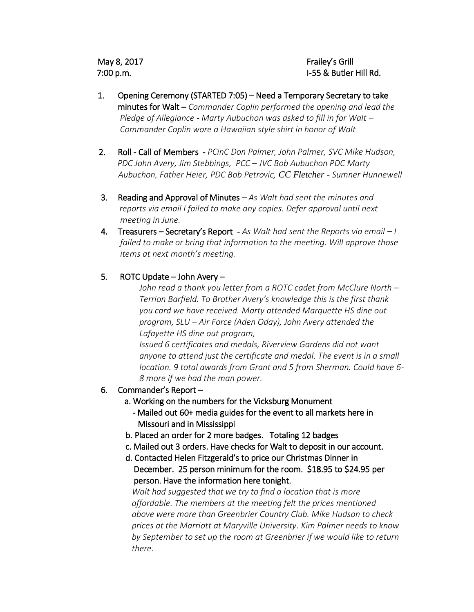May 8, 2017 7:00 p.m.

Frailey's Grill I-55 & Butler Hill Rd.

- 1. Opening Ceremony (STARTED 7:05) Need a Temporary Secretary to take minutes for Walt – *Commander Coplin performed the opening and lead the Pledge of Allegiance - Marty Aubuchon was asked to fill in for Walt – Commander Coplin wore a Hawaiian style shirt in honor of Walt*
- 2. Roll Call of Members *PCinC Don Palmer, John Palmer, SVC Mike Hudson, PDC John Avery, Jim Stebbings, PCC – JVC Bob Aubuchon PDC Marty Aubuchon, Father Heier, PDC Bob Petrovic, CC Fletcher - Sumner Hunnewell*
- 3. Reading and Approval of Minutes *As Walt had sent the minutes and reports via email I failed to make any copies. Defer approval until next meeting in June.*
- 4. Treasurers Secretary's Report *As Walt had sent the Reports via email – I failed to make or bring that information to the meeting. Will approve those items at next month's meeting.*

## 5. ROTC Update – John Avery –

*John read a thank you letter from a ROTC cadet from McClure North – Terrion Barfield. To Brother Avery's knowledge this is the first thank you card we have received. Marty attended Marquette HS dine out program, SLU – Air Force (Aden Oday), John Avery attended the Lafayette HS dine out program,* 

*Issued 6 certificates and medals, Riverview Gardens did not want anyone to attend just the certificate and medal. The event is in a small location. 9 total awards from Grant and 5 from Sherman. Could have 6- 8 more if we had the man power.* 

6. Commander's Report –

## a. Working on the numbers for the Vicksburg Monument

- Mailed out 60+ media guides for the event to all markets here in Missouri and in Mississippi
- b. Placed an order for 2 more badges. Totaling 12 badges
- c. Mailed out 3 orders. Have checks for Walt to deposit in our account.
- d. Contacted Helen Fitzgerald's to price our Christmas Dinner in December. 25 person minimum for the room. \$18.95 to \$24.95 per person. Have the information here tonight.

 *Walt had suggested that we try to find a location that is more affordable. The members at the meeting felt the prices mentioned above were more than Greenbrier Country Club. Mike Hudson to check prices at the Marriott at Maryville University. Kim Palmer needs to know by September to set up the room at Greenbrier if we would like to return there.*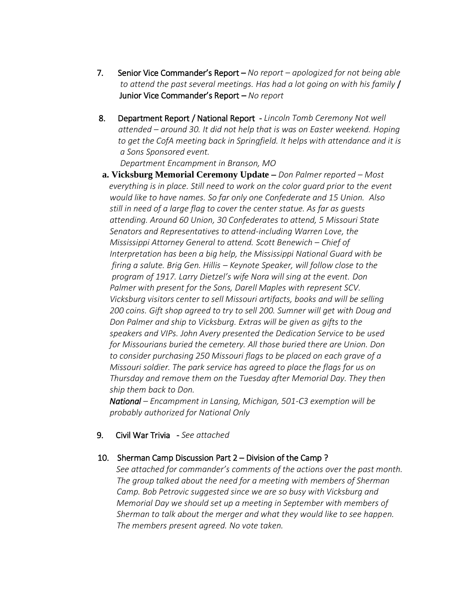- 7. Senior Vice Commander's Report *No report – apologized for not being able to attend the past several meetings. Has had a lot going on with his family* / Junior Vice Commander's Report – *No report*
- 8. Department Report / National Report *Lincoln Tomb Ceremony Not well attended – around 30. It did not help that is was on Easter weekend. Hoping to get the CofA meeting back in Springfield. It helps with attendance and it is a Sons Sponsored event.*

 *Department Encampment in Branson, MO* 

 **a. Vicksburg Memorial Ceremony Update** – *Don Palmer reported – Most everything is in place. Still need to work on the color guard prior to the event would like to have names. So far only one Confederate and 15 Union. Also still in need of a large flag to cover the center statue. As far as guests attending. Around 60 Union, 30 Confederates to attend, 5 Missouri State Senators and Representatives to attend-including Warren Love, the Mississippi Attorney General to attend. Scott Benewich – Chief of Interpretation has been a big help, the Mississippi National Guard with be firing a salute. Brig Gen. Hillis – Keynote Speaker, will follow close to the program of 1917. Larry Dietzel's wife Nora will sing at the event. Don Palmer with present for the Sons, Darell Maples with represent SCV. Vicksburg visitors center to sell Missouri artifacts, books and will be selling 200 coins. Gift shop agreed to try to sell 200. Sumner will get with Doug and Don Palmer and ship to Vicksburg. Extras will be given as gifts to the speakers and VIPs. John Avery presented the Dedication Service to be used for Missourians buried the cemetery. All those buried there are Union. Don to consider purchasing 250 Missouri flags to be placed on each grave of a Missouri soldier. The park service has agreed to place the flags for us on Thursday and remove them on the Tuesday after Memorial Day. They then ship them back to Don.* 

 *National – Encampment in Lansing, Michigan, 501-C3 exemption will be probably authorized for National Only*

9. Civil War Trivia - *See attached* 

## 10. Sherman Camp Discussion Part 2 – Division of the Camp ?

 *See attached for commander's comments of the actions over the past month. The group talked about the need for a meeting with members of Sherman Camp. Bob Petrovic suggested since we are so busy with Vicksburg and Memorial Day we should set up a meeting in September with members of Sherman to talk about the merger and what they would like to see happen. The members present agreed. No vote taken.*